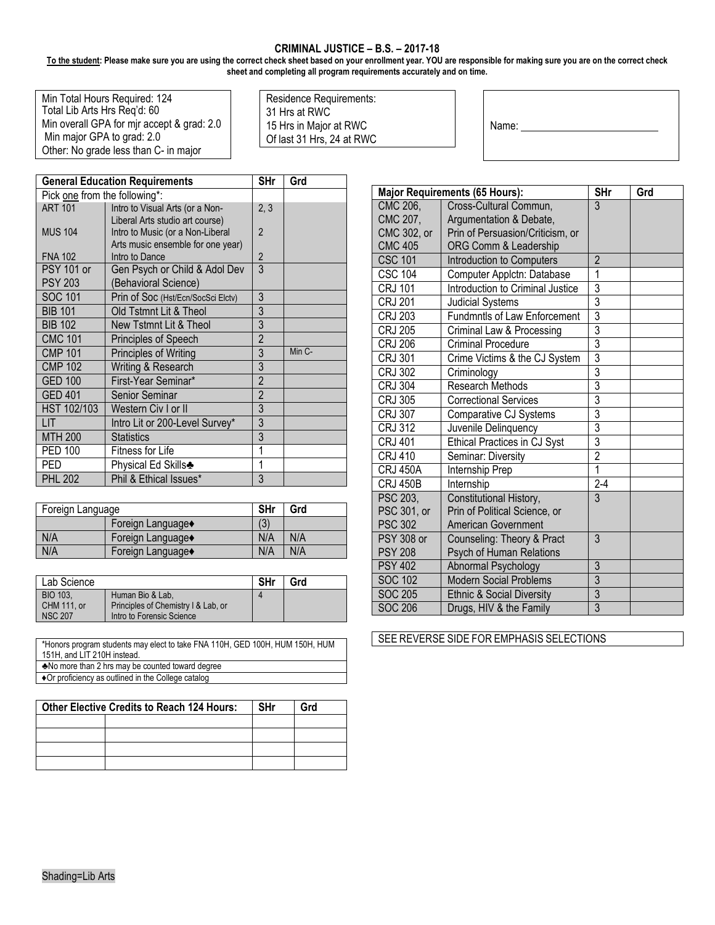## **CRIMINAL JUSTICE – B.S. – 2017-18**

**To the student: Please make sure you are using the correct check sheet based on your enrollment year. YOU are responsible for making sure you are on the correct check sheet and completing all program requirements accurately and on time.** 

| Min Total Hours Required: 124              |
|--------------------------------------------|
| Total Lib Arts Hrs Reg'd: 60               |
| Min overall GPA for mjr accept & grad: 2.0 |
| Min major GPA to grad: 2.0                 |
| Other: No grade less than C- in major      |

Residence Requirements: 31 Hrs at RWC 15 Hrs in Major at RWC Of last 31 Hrs, 24 at RWC

| Name: |  |  |  |
|-------|--|--|--|
|       |  |  |  |

Г

|                               | <b>General Education Requirements</b>                                                                    | SHr            | Grd    |
|-------------------------------|----------------------------------------------------------------------------------------------------------|----------------|--------|
| Pick one from the following*: |                                                                                                          |                |        |
| <b>ART 101</b>                | Intro to Visual Arts (or a Non-                                                                          | 2, 3           |        |
| <b>MUS 104</b>                | Liberal Arts studio art course)<br>Intro to Music (or a Non-Liberal<br>Arts music ensemble for one year) | $\overline{2}$ |        |
| <b>FNA 102</b>                | Intro to Dance                                                                                           | $\overline{2}$ |        |
| <b>PSY 101 or</b>             | Gen Psych or Child & Adol Dev                                                                            | $\overline{3}$ |        |
| <b>PSY 203</b>                | (Behavioral Science)                                                                                     |                |        |
| <b>SOC 101</b>                | Prin of Soc (Hst/Ecn/SocSci Elctv)                                                                       | 3              |        |
| <b>BIB 101</b>                | Old Tstmnt Lit & Theol                                                                                   | 3              |        |
| <b>BIB 102</b>                | New Tstmnt Lit & Theol                                                                                   | $\overline{3}$ |        |
| <b>CMC 101</b>                | Principles of Speech                                                                                     | $\overline{2}$ |        |
| <b>CMP 101</b>                | Principles of Writing                                                                                    | 3              | Min C- |
| <b>CMP 102</b>                | Writing & Research                                                                                       | 3              |        |
| <b>GED 100</b>                | First-Year Seminar*                                                                                      | $\overline{2}$ |        |
| <b>GED 401</b>                | Senior Seminar                                                                                           | $\overline{2}$ |        |
| HST 102/103                   | Western Civ I or II                                                                                      | 3              |        |
| LIT                           | Intro Lit or 200-Level Survey*                                                                           | $\overline{3}$ |        |
| <b>MTH 200</b>                | <b>Statistics</b>                                                                                        | 3              |        |
| <b>PED 100</b>                | Fitness for Life                                                                                         | 1              |        |
| PED                           | Physical Ed Skills♣                                                                                      | 1              |        |
| <b>PHL 202</b>                | Phil & Ethical Issues*                                                                                   | 3              |        |

| Foreign Language |                  | <b>SHr</b> | Grd |
|------------------|------------------|------------|-----|
|                  | Foreign Language | (3)        |     |
| N/A              | Foreign Language | N/A        | N/A |
| N/A              | Foreign Language | N/A        | N/A |

| Lab Science        |                                     | <b>SHr</b> | Grd |
|--------------------|-------------------------------------|------------|-----|
| <b>BIO 103.</b>    | Human Bio & Lab.                    |            |     |
| <b>CHM 111. or</b> | Principles of Chemistry I & Lab, or |            |     |
| <b>NSC 207</b>     | Intro to Forensic Science           |            |     |

| *Honors program students may elect to take FNA 110H, GED 100H, HUM 150H, HUM |  |
|------------------------------------------------------------------------------|--|
| 151H, and LIT 210H instead.                                                  |  |

- ♣No more than 2 hrs may be counted toward degree
- ♦Or proficiency as outlined in the College catalog

| <b>Other Elective Credits to Reach 124 Hours:</b> |  | <b>SHr</b> | Grd |
|---------------------------------------------------|--|------------|-----|
|                                                   |  |            |     |
|                                                   |  |            |     |
|                                                   |  |            |     |
|                                                   |  |            |     |

|                   | <b>Major Requirements (65 Hours):</b> | <b>SHr</b>     | Grd |
|-------------------|---------------------------------------|----------------|-----|
| CMC 206,          | Cross-Cultural Commun,                | $\overline{3}$ |     |
| CMC 207.          | Argumentation & Debate,               |                |     |
| CMC 302, or       | Prin of Persuasion/Criticism, or      |                |     |
| <b>CMC 405</b>    | ORG Comm & Leadership                 |                |     |
| <b>CSC 101</b>    | Introduction to Computers             | $\overline{2}$ |     |
| $CSC$ $104$       | Computer Applctn: Database            | 1              |     |
| <b>CRJ 101</b>    | Introduction to Criminal Justice      | $\overline{3}$ |     |
| <b>CRJ 201</b>    | <b>Judicial Systems</b>               | 3              |     |
| <b>CRJ 203</b>    | <b>Fundmntls of Law Enforcement</b>   | $\overline{3}$ |     |
| <b>CRJ 205</b>    | Criminal Law & Processing             | 3              |     |
| <b>CRJ 206</b>    | <b>Criminal Procedure</b>             | $\overline{3}$ |     |
| <b>CRJ 301</b>    | Crime Victims & the CJ System         | $\overline{3}$ |     |
| <b>CRJ 302</b>    | Criminology                           | $\overline{3}$ |     |
| <b>CRJ 304</b>    | Research Methods                      | $\overline{3}$ |     |
| <b>CRJ 305</b>    | <b>Correctional Services</b>          | $\overline{3}$ |     |
| <b>CRJ 307</b>    | Comparative CJ Systems                | $\overline{3}$ |     |
| <b>CRJ 312</b>    | Juvenile Delinquency                  | 3              |     |
| <b>CRJ 401</b>    | Ethical Practices in CJ Syst          | $\overline{3}$ |     |
| <b>CRJ 410</b>    | Seminar: Diversity                    | $\overline{2}$ |     |
| <b>CRJ 450A</b>   | Internship Prep                       | 1              |     |
| <b>CRJ 450B</b>   | Internship                            | $2-4$          |     |
| PSC 203,          | Constitutional History,               | 3              |     |
| PSC 301, or       | Prin of Political Science, or         |                |     |
| <b>PSC 302</b>    | <b>American Government</b>            |                |     |
| <b>PSY 308 or</b> | Counseling: Theory & Pract            | 3              |     |
| <b>PSY 208</b>    | Psych of Human Relations              |                |     |
| <b>PSY 402</b>    | Abnormal Psychology                   | 3              |     |
| <b>SOC 102</b>    | <b>Modern Social Problems</b>         | $\overline{3}$ |     |
| <b>SOC 205</b>    | <b>Ethnic &amp; Social Diversity</b>  | $rac{3}{3}$    |     |
| <b>SOC 206</b>    | Drugs, HIV & the Family               |                |     |

SEE REVERSE SIDE FOR EMPHASIS SELECTIONS